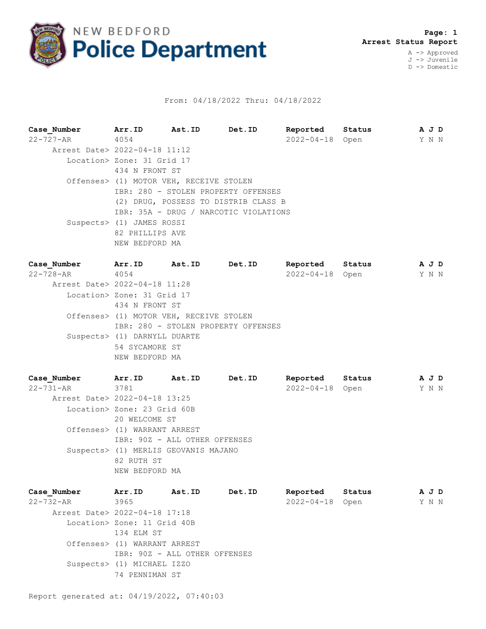

## From: 04/18/2022 Thru: 04/18/2022

**Case\_Number Arr.ID Ast.ID Det.ID Reported Status A J D** 22-727-AR 4054 2022-04-18 Open Y N N Arrest Date> 2022-04-18 11:12 Location> Zone: 31 Grid 17 434 N FRONT ST Offenses> (1) MOTOR VEH, RECEIVE STOLEN IBR: 280 - STOLEN PROPERTY OFFENSES (2) DRUG, POSSESS TO DISTRIB CLASS B IBR: 35A - DRUG / NARCOTIC VIOLATIONS Suspects> (1) JAMES ROSSI 82 PHILLIPS AVE NEW BEDFORD MA

| Case Number                   | Arr.ID                                  | Ast.ID | Det.ID                              | Reported         | Status |  | A J D |  |  |
|-------------------------------|-----------------------------------------|--------|-------------------------------------|------------------|--------|--|-------|--|--|
| $22 - 728 - AR$               | 4054                                    |        |                                     | $2022 - 04 - 18$ | Open   |  | Y N N |  |  |
| Arrest Date> 2022-04-18 11:28 |                                         |        |                                     |                  |        |  |       |  |  |
|                               | Location> Zone: 31 Grid 17              |        |                                     |                  |        |  |       |  |  |
|                               | 434 N FRONT ST                          |        |                                     |                  |        |  |       |  |  |
|                               | Offenses> (1) MOTOR VEH, RECEIVE STOLEN |        |                                     |                  |        |  |       |  |  |
|                               |                                         |        | IBR: 280 - STOLEN PROPERTY OFFENSES |                  |        |  |       |  |  |
|                               | Suspects> (1) DARNYLL DUARTE            |        |                                     |                  |        |  |       |  |  |
|                               | 54 SYCAMORE ST                          |        |                                     |                  |        |  |       |  |  |
|                               | NEW BEDFORD MA                          |        |                                     |                  |        |  |       |  |  |
|                               |                                         |        |                                     |                  |        |  |       |  |  |

**Case\_Number Arr.ID Ast.ID Det.ID Reported Status A J D** 22-731-AR 3781 2022-04-18 Open Y N N Arrest Date> 2022-04-18 13:25 Location> Zone: 23 Grid 60B 20 WELCOME ST Offenses> (1) WARRANT ARREST IBR: 90Z - ALL OTHER OFFENSES Suspects> (1) MERLIS GEOVANIS MAJANO 82 RUTH ST NEW BEDFORD MA

| Case Number | Arr.ID                        | Ast.ID                        | Det.ID | Reported         | Status |  | A J D |  |
|-------------|-------------------------------|-------------------------------|--------|------------------|--------|--|-------|--|
| 22-732-AR   | 3965                          |                               |        | $2022 - 04 - 18$ | Open   |  | Y N N |  |
|             | Arrest Date> 2022-04-18 17:18 |                               |        |                  |        |  |       |  |
|             | Location> Zone: 11 Grid 40B   |                               |        |                  |        |  |       |  |
|             | 134 ELM ST                    |                               |        |                  |        |  |       |  |
|             | Offenses> (1) WARRANT ARREST  |                               |        |                  |        |  |       |  |
|             |                               | IBR: 90Z - ALL OTHER OFFENSES |        |                  |        |  |       |  |
|             | Suspects> (1) MICHAEL IZZO    |                               |        |                  |        |  |       |  |
|             | 74 PENNIMAN ST                |                               |        |                  |        |  |       |  |
|             |                               |                               |        |                  |        |  |       |  |